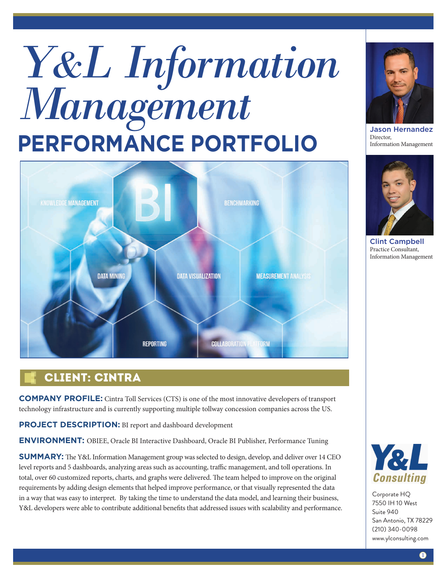# *Y&L Information Management* **PERFORMANCE PORTFOLIO**



### Client: cintra

**COMPANY PROFILE:** Cintra Toll Services (CTS) is one of the most innovative developers of transport technology infrastructure and is currently supporting multiple tollway concession companies across the US.

**PROJECT DESCRIPTION:** BI report and dashboard development

**ENVIRONMENT:** OBIEE, Oracle BI Interactive Dashboard, Oracle BI Publisher, Performance Tuning

**SUMMARY:** The Y&L Information Management group was selected to design, develop, and deliver over 14 CEO level reports and 5 dashboards, analyzing areas such as accounting, traffic management, and toll operations. In total, over 60 customized reports, charts, and graphs were delivered. The team helped to improve on the original requirements by adding design elements that helped improve performance, or that visually represented the data in a way that was easy to interpret. By taking the time to understand the data model, and learning their business, Y&L developers were able to contribute additional benefits that addressed issues with scalability and performance.



Jason Hernandez Director, Information Management



Clint Campbell Practice Consultant, Information Management



Corporate HQ 7550 IH 10 West Suite 940 San Antonio, TX 78229 (210) 340-0098 www.ylconsulting.com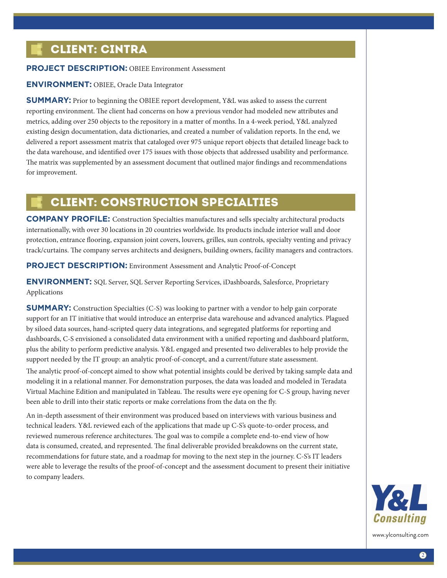## Client: cintra

#### **PROJECT DESCRIPTION: OBIEE Environment Assessment**

#### **ENVIRONMENT:** OBIEE, Oracle Data Integrator

**SUMMARY:** Prior to beginning the OBIEE report development, Y&L was asked to assess the current reporting environment. The client had concerns on how a previous vendor had modeled new attributes and metrics, adding over 250 objects to the repository in a matter of months. In a 4-week period, Y&L analyzed existing design documentation, data dictionaries, and created a number of validation reports. In the end, we delivered a report assessment matrix that cataloged over 975 unique report objects that detailed lineage back to the data warehouse, and identified over 175 issues with those objects that addressed usability and performance. The matrix was supplemented by an assessment document that outlined major findings and recommendations for improvement.

#### Client: Construction Specialties

**COMPANY PROFILE:** Construction Specialties manufactures and sells specialty architectural products internationally, with over 30 locations in 20 countries worldwide. Its products include interior wall and door protection, entrance flooring, expansion joint covers, louvers, grilles, sun controls, specialty venting and privacy track/curtains. The company serves architects and designers, building owners, facility managers and contractors.

**PROJECT DESCRIPTION:** Environment Assessment and Analytic Proof-of-Concept

**ENVIRONMENT:** SQL Server, SQL Server Reporting Services, iDashboards, Salesforce, Proprietary Applications

**SUMMARY:** Construction Specialties (C-S) was looking to partner with a vendor to help gain corporate support for an IT initiative that would introduce an enterprise data warehouse and advanced analytics. Plagued by siloed data sources, hand-scripted query data integrations, and segregated platforms for reporting and dashboards, C-S envisioned a consolidated data environment with a unified reporting and dashboard platform, plus the ability to perform predictive analysis. Y&L engaged and presented two deliverables to help provide the support needed by the IT group: an analytic proof-of-concept, and a current/future state assessment. The analytic proof-of-concept aimed to show what potential insights could be derived by taking sample data and modeling it in a relational manner. For demonstration purposes, the data was loaded and modeled in Teradata Virtual Machine Edition and manipulated in Tableau. The results were eye opening for C-S group, having never been able to drill into their static reports or make correlations from the data on the fly.

An in-depth assessment of their environment was produced based on interviews with various business and technical leaders. Y&L reviewed each of the applications that made up C-S's quote-to-order process, and reviewed numerous reference architectures. The goal was to compile a complete end-to-end view of how data is consumed, created, and represented. The final deliverable provided breakdowns on the current state, recommendations for future state, and a roadmap for moving to the next step in the journey. C-S's IT leaders were able to leverage the results of the proof-of-concept and the assessment document to present their initiative to company leaders.



www.ylconsulting.com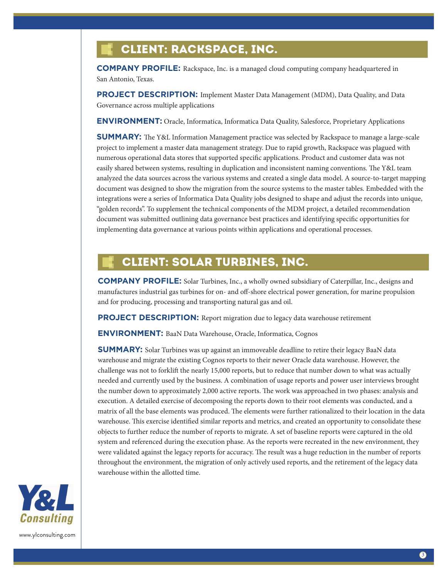# Client: Rackspace, Inc.

**COMPANY PROFILE:** Rackspace, Inc. is a managed cloud computing company headquartered in San Antonio, Texas.

**PROJECT DESCRIPTION:** Implement Master Data Management (MDM), Data Quality, and Data Governance across multiple applications

**ENVIRONMENT:** Oracle, Informatica, Informatica Data Quality, Salesforce, Proprietary Applications

**SUMMARY:** The Y&L Information Management practice was selected by Rackspace to manage a large-scale project to implement a master data management strategy. Due to rapid growth, Rackspace was plagued with numerous operational data stores that supported specific applications. Product and customer data was not easily shared between systems, resulting in duplication and inconsistent naming conventions. The Y&L team analyzed the data sources across the various systems and created a single data model. A source-to-target mapping document was designed to show the migration from the source systems to the master tables. Embedded with the integrations were a series of Informatica Data Quality jobs designed to shape and adjust the records into unique, "golden records". To supplement the technical components of the MDM project, a detailed recommendation document was submitted outlining data governance best practices and identifying specific opportunities for implementing data governance at various points within applications and operational processes.

#### Client: Solar Turbines, Inc.

**COMPANY PROFILE:** Solar Turbines, Inc., a wholly owned subsidiary of Caterpillar, Inc., designs and manufactures industrial gas turbines for on- and off-shore electrical power generation, for marine propulsion and for producing, processing and transporting natural gas and oil.

**PROJECT DESCRIPTION:** Report migration due to legacy data warehouse retirement

**ENVIRONMENT:** BaaN Data Warehouse, Oracle, Informatica, Cognos

**SUMMARY:** Solar Turbines was up against an immoveable deadline to retire their legacy BaaN data warehouse and migrate the existing Cognos reports to their newer Oracle data warehouse. However, the challenge was not to forklift the nearly 15,000 reports, but to reduce that number down to what was actually needed and currently used by the business. A combination of usage reports and power user interviews brought the number down to approximately 2,000 active reports. The work was approached in two phases: analysis and execution. A detailed exercise of decomposing the reports down to their root elements was conducted, and a matrix of all the base elements was produced. The elements were further rationalized to their location in the data warehouse. This exercise identified similar reports and metrics, and created an opportunity to consolidate these objects to further reduce the number of reports to migrate. A set of baseline reports were captured in the old system and referenced during the execution phase. As the reports were recreated in the new environment, they were validated against the legacy reports for accuracy. The result was a huge reduction in the number of reports throughout the environment, the migration of only actively used reports, and the retirement of the legacy data warehouse within the allotted time.